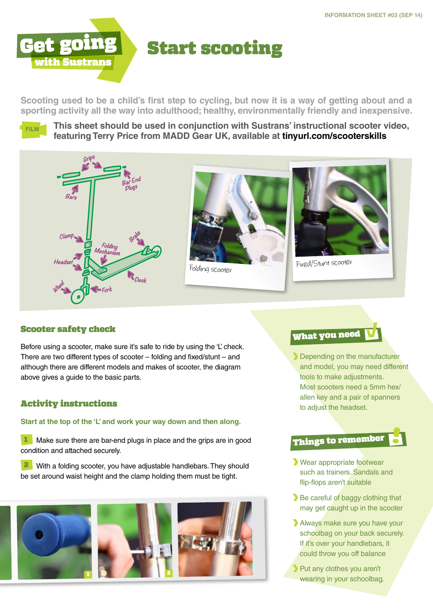

**Scooting used to be a child's first step to cycling, but now it is a way of getting about and a sporting activity all the way into adulthood; healthy, environmentally friendly and inexpensive.**



**This sheet should be used in conjunction with Sustrans' instructional scooter video, featuring Terry Price from MADD Gear UK, available at [tinyurl.com/scooterskills](http://tinyurl.com/scooterskills)**







### Scooter safety check

Before using a scooter, make sure it's safe to ride by using the 'L' check. There are two different types of scooter – folding and fixed/stunt – and although there are different models and makes of scooter, the diagram above gives a guide to the basic parts.

### Activity instructions

**Start at the top of the 'L' and work your way down and then along.**

Make sure there are bar-end plugs in place and the grips are in good condition and attached securely.

2 With a folding scooter, you have adjustable handlebars. They should be set around waist height and the clamp holding them must be tight.





Depending on the manufacturer and model, you may need different tools to make adjustments. Most scooters need a 5mm hex/ allen key and a pair of spanners to adjust the headset.

## Things to remember

- Wear appropriate footwear such as trainers. Sandals and flip-flops aren't suitable
- Be careful of baggy clothing that may get caught up in the scooter
- Always make sure you have your schoolbag on your back securely. If it's over your handlebars, it could throw you off balance
- Put any clothes you aren't wearing in your schoolbag.